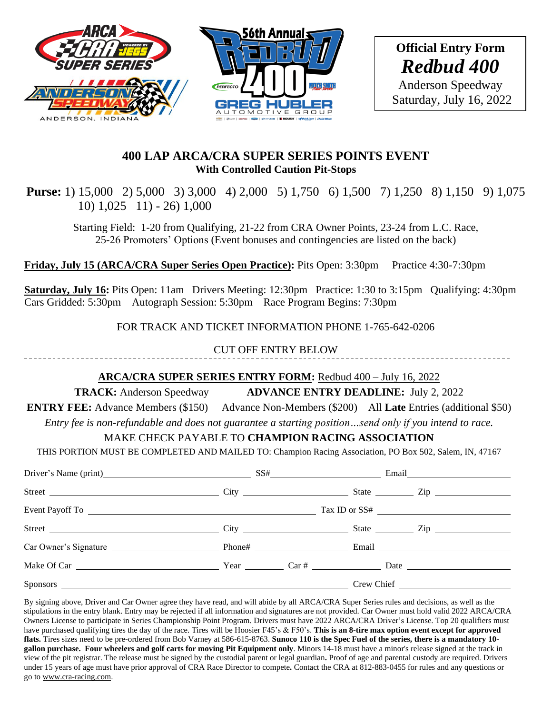

\_\_\_\_\_\_\_\_\_\_\_\_\_\_\_\_\_\_\_\_\_\_\_\_\_\_\_\_\_\_

### **400 LAP ARCA/CRA SUPER SERIES POINTS EVENT With Controlled Caution Pit-Stops**

**Purse:** 1) 15,000 2) 5,000 3) 3,000 4) 2,000 5) 1,750 6) 1,500 7) 1,250 8) 1,150 9) 1,075 10) 1,025 11) - 26) 1,000

Starting Field: 1-20 from Qualifying, 21-22 from CRA Owner Points, 23-24 from L.C. Race, 25-26 Promoters' Options (Event bonuses and contingencies are listed on the back)

**Friday, July 15 (ARCA/CRA Super Series Open Practice):** Pits Open: 3:30pm Practice 4:30-7:30pm

**Saturday, July 16:** Pits Open: 11am Drivers Meeting: 12:30pm Practice: 1:30 to 3:15pm Qualifying: 4:30pm Cars Gridded: 5:30pm Autograph Session: 5:30pm Race Program Begins: 7:30pm

FOR TRACK AND TICKET INFORMATION PHONE 1-765-642-0206

CUT OFF ENTRY BELOW

# **ARCA/CRA SUPER SERIES ENTRY FORM:** Redbud 400 – July 16, 2022

**TRACK:** Anderson Speedway **ADVANCE ENTRY DEADLINE:** July 2, 2022

**ENTRY FEE:** Advance Members (\$150) Advance Non-Members (\$200) All **Late** Entries (additional \$50)

*Entry fee is non-refundable and does not guarantee a starting position…send only if you intend to race.*

# MAKE CHECK PAYABLE TO **CHAMPION RACING ASSOCIATION**

THIS PORTION MUST BE COMPLETED AND MAILED TO: Champion Racing Association, PO Box 502, Salem, IN, 47167

| Driver's Name (print) SS# |  |                      |
|---------------------------|--|----------------------|
|                           |  | State <u>and</u> Zip |
|                           |  |                      |
|                           |  |                      |
|                           |  |                      |
|                           |  |                      |
|                           |  |                      |

By signing above, Driver and Car Owner agree they have read, and will abide by all ARCA/CRA Super Series rules and decisions, as well as the stipulations in the entry blank. Entry may be rejected if all information and signatures are not provided. Car Owner must hold valid 2022 ARCA/CRA Owners License to participate in Series Championship Point Program. Drivers must have 2022 ARCA/CRA Driver's License. Top 20 qualifiers must have purchased qualifying tires the day of the race. Tires will be Hoosier F45's & F50's. **This is an 8-tire max option event except for approved flats.** Tires sizes need to be pre-ordered from Bob Varney at 586-615-8763. **Sunoco 110 is the Spec Fuel of the series, there is a mandatory 10 gallon purchase. Four wheelers and golf carts for moving Pit Equipment only**. Minors 14-18 must have a minor's release signed at the track in view of the pit registrar. The release must be signed by the custodial parent or legal guardian**.** Proof of age and parental custody are required. Drivers under 15 years of age must have prior approval of CRA Race Director to compete**.** Contact the CRA at 812-883-0455 for rules and any questions or go to [www.cra-racing.com.](http://www.cra-racing.com/)